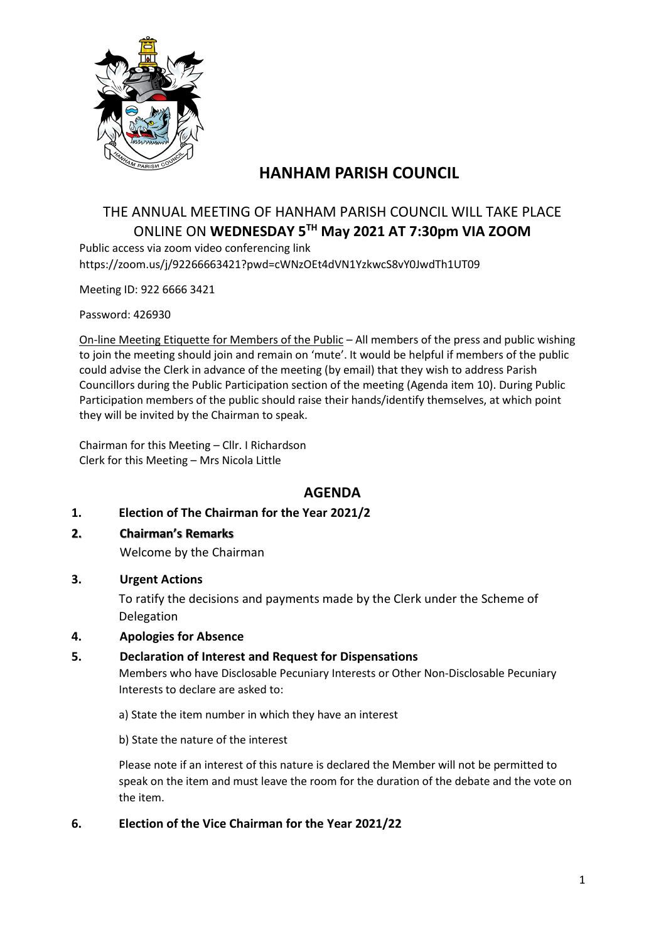

# **HANHAM PARISH COUNCIL**

# THE ANNUAL MEETING OF HANHAM PARISH COUNCIL WILL TAKE PLACE ONLINE ON **WEDNESDAY 5 TH May 2021 AT 7:30pm VIA ZOOM**

Public access via zoom video conferencing link https://zoom.us/j/92266663421?pwd=cWNzOEt4dVN1YzkwcS8vY0JwdTh1UT09

Meeting ID: 922 6666 3421

Password: 426930

On-line Meeting Etiquette for Members of the Public – All members of the press and public wishing to join the meeting should join and remain on 'mute'. It would be helpful if members of the public could advise the Clerk in advance of the meeting (by email) that they wish to address Parish Councillors during the Public Participation section of the meeting (Agenda item 10). During Public Participation members of the public should raise their hands/identify themselves, at which point they will be invited by the Chairman to speak.

Chairman for this Meeting – Cllr. I Richardson Clerk for this Meeting – Mrs Nicola Little

# **AGENDA**

- **1. Election of The Chairman for the Year 2021/2**
- **2. Chairman's Remarks**

Welcome by the Chairman

**3. Urgent Actions**

To ratify the decisions and payments made by the Clerk under the Scheme of Delegation

#### **4. Apologies for Absence**

#### **5. Declaration of Interest and Request for Dispensations**

Members who have Disclosable Pecuniary Interests or Other Non-Disclosable Pecuniary Interests to declare are asked to:

a) State the item number in which they have an interest

b) State the nature of the interest

Please note if an interest of this nature is declared the Member will not be permitted to speak on the item and must leave the room for the duration of the debate and the vote on the item.

#### **6. Election of the Vice Chairman for the Year 2021/22**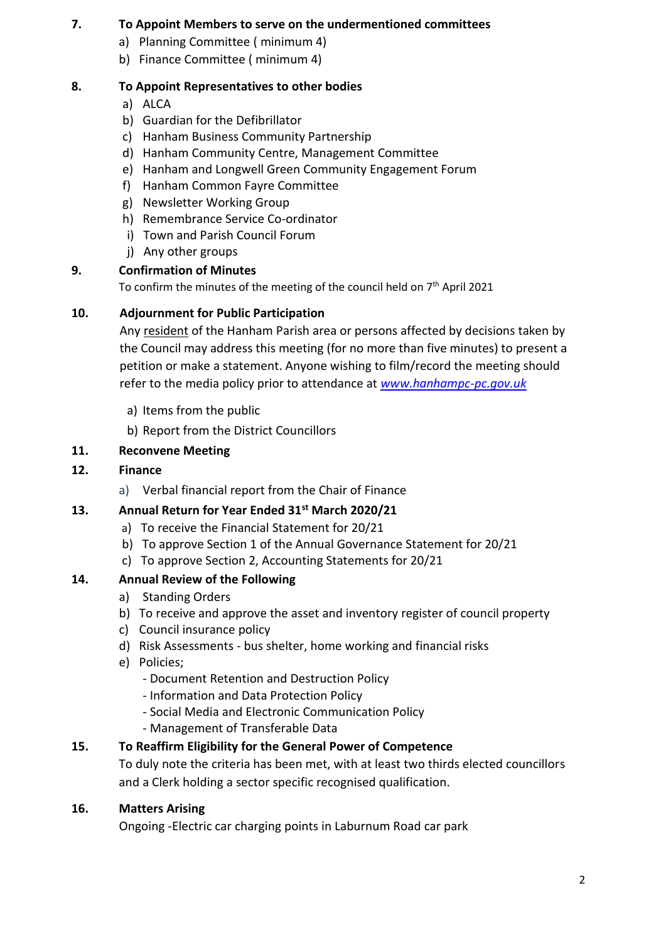### **7. To Appoint Members to serve on the undermentioned committees**

- a) Planning Committee ( minimum 4)
- b) Finance Committee ( minimum 4)

### **8. To Appoint Representatives to other bodies**

- a) ALCA
- b) Guardian for the Defibrillator
- c) Hanham Business Community Partnership
- d) Hanham Community Centre, Management Committee
- e) Hanham and Longwell Green Community Engagement Forum
- f) Hanham Common Fayre Committee
- g) Newsletter Working Group
- h) Remembrance Service Co-ordinator
- i) Town and Parish Council Forum
- j) Any other groups

### **9. Confirmation of Minutes**

To confirm the minutes of the meeting of the council held on  $7<sup>th</sup>$  April 2021

### **10. Adjournment for Public Participation**

Any resident of the Hanham Parish area or persons affected by decisions taken by the Council may address this meeting (for no more than five minutes) to present a petition or make a statement. Anyone wishing to film/record the meeting should refer to the media policy prior to attendance at *[www.hanhampc-pc.gov.uk](http://www.hanhampc-pc.gov.uk/)*

- a) Items from the public
- b) Report from the District Councillors

### **11. Reconvene Meeting**

#### **12. Finance**

a) Verbal financial report from the Chair of Finance

# **13. Annual Return for Year Ended 31st March 2020/21**

- a) To receive the Financial Statement for 20/21
- b) To approve Section 1 of the Annual Governance Statement for 20/21
- c) To approve Section 2, Accounting Statements for 20/21

# **14. Annual Review of the Following**

- a) Standing Orders
- b) To receive and approve the asset and inventory register of council property
- c) Council insurance policy
- d) Risk Assessments bus shelter, home working and financial risks
- e) Policies;
	- Document Retention and Destruction Policy
	- Information and Data Protection Policy
	- Social Media and Electronic Communication Policy
	- Management of Transferable Data

# **15. To Reaffirm Eligibility for the General Power of Competence**

To duly note the criteria has been met, with at least two thirds elected councillors and a Clerk holding a sector specific recognised qualification.

#### **16. Matters Arising**

Ongoing -Electric car charging points in Laburnum Road car park